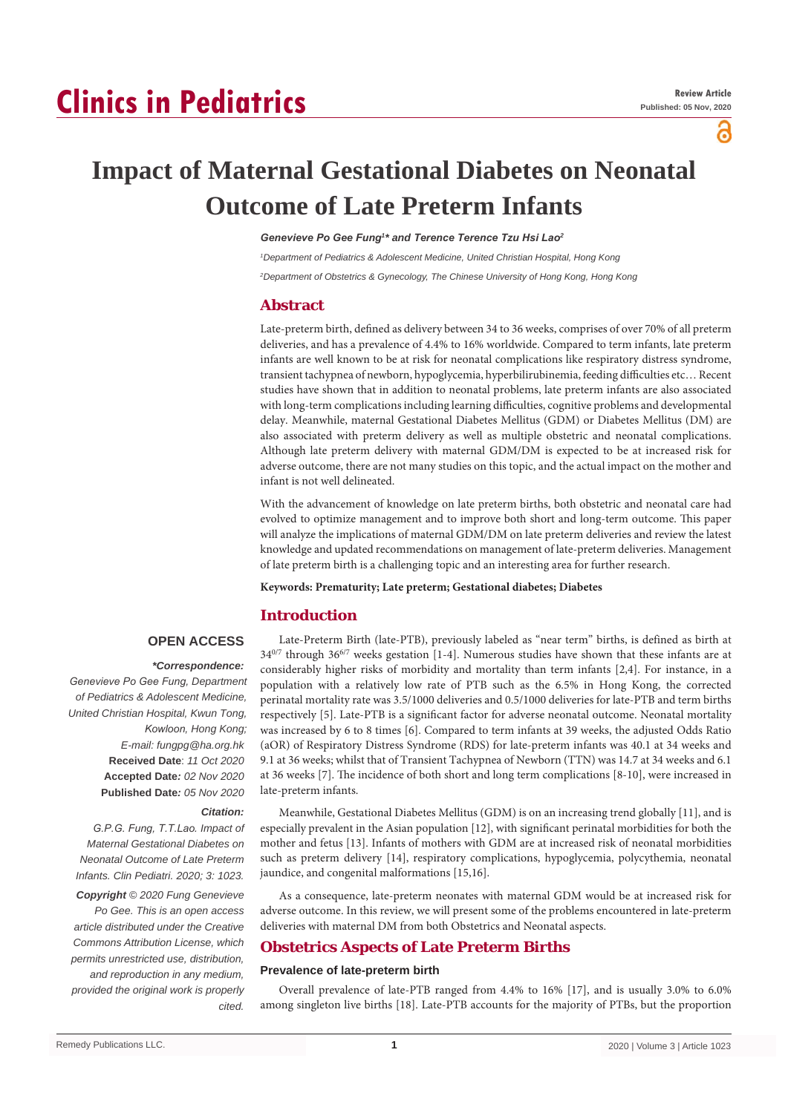# **Clinics in Pediatrics**

പ്പ

# **Impact of Maternal Gestational Diabetes on Neonatal Outcome of Late Preterm Infants**

## *Genevieve Po Gee Fung<sup>1</sup> \* and Terence Terence Tzu Hsi Lao<sup>2</sup>*

*1 Department of Pediatrics & Adolescent Medicine, United Christian Hospital, Hong Kong*

*2 Department of Obstetrics & Gynecology, The Chinese University of Hong Kong, Hong Kong*

## **Abstract**

Late-preterm birth, defined as delivery between 34 to 36 weeks, comprises of over 70% of all preterm deliveries, and has a prevalence of 4.4% to 16% worldwide. Compared to term infants, late preterm infants are well known to be at risk for neonatal complications like respiratory distress syndrome, transient tachypnea of newborn, hypoglycemia, hyperbilirubinemia, feeding difficulties etc… Recent studies have shown that in addition to neonatal problems, late preterm infants are also associated with long-term complications including learning difficulties, cognitive problems and developmental delay. Meanwhile, maternal Gestational Diabetes Mellitus (GDM) or Diabetes Mellitus (DM) are also associated with preterm delivery as well as multiple obstetric and neonatal complications. Although late preterm delivery with maternal GDM/DM is expected to be at increased risk for adverse outcome, there are not many studies on this topic, and the actual impact on the mother and infant is not well delineated.

With the advancement of knowledge on late preterm births, both obstetric and neonatal care had evolved to optimize management and to improve both short and long-term outcome. This paper will analyze the implications of maternal GDM/DM on late preterm deliveries and review the latest knowledge and updated recommendations on management of late-preterm deliveries. Management of late preterm birth is a challenging topic and an interesting area for further research.

**Keywords: Prematurity; Late preterm; Gestational diabetes; Diabetes**

# **Introduction**

## **OPEN ACCESS**

## *\*Correspondence:*

*Genevieve Po Gee Fung, Department of Pediatrics & Adolescent Medicine, United Christian Hospital, Kwun Tong, Kowloon, Hong Kong; E-mail: fungpg@ha.org.hk* **Received Date**: *11 Oct 2020* **Accepted Date***: 02 Nov 2020* **Published Date***: 05 Nov 2020*

## *Citation:*

*G.P.G. Fung, T.T.Lao. Impact of Maternal Gestational Diabetes on Neonatal Outcome of Late Preterm Infants. Clin Pediatri. 2020; 3: 1023.*

*Copyright © 2020 Fung Genevieve Po Gee. This is an open access article distributed under the Creative Commons Attribution License, which permits unrestricted use, distribution, and reproduction in any medium, provided the original work is properly cited.*

Late-Preterm Birth (late-PTB), previously labeled as "near term" births, is defined as birth at 34<sup>0/7</sup> through 36<sup>6/7</sup> weeks gestation [1-4]. Numerous studies have shown that these infants are at considerably higher risks of morbidity and mortality than term infants [2,4]. For instance, in a population with a relatively low rate of PTB such as the 6.5% in Hong Kong, the corrected perinatal mortality rate was 3.5/1000 deliveries and 0.5/1000 deliveries for late-PTB and term births respectively [5]. Late-PTB is a significant factor for adverse neonatal outcome. Neonatal mortality was increased by 6 to 8 times [6]. Compared to term infants at 39 weeks, the adjusted Odds Ratio (aOR) of Respiratory Distress Syndrome (RDS) for late-preterm infants was 40.1 at 34 weeks and 9.1 at 36 weeks; whilst that of Transient Tachypnea of Newborn (TTN) was 14.7 at 34 weeks and 6.1 at 36 weeks [7]. The incidence of both short and long term complications [8-10], were increased in late-preterm infants.

Meanwhile, Gestational Diabetes Mellitus (GDM) is on an increasing trend globally [11], and is especially prevalent in the Asian population [12], with significant perinatal morbidities for both the mother and fetus [13]. Infants of mothers with GDM are at increased risk of neonatal morbidities such as preterm delivery [14], respiratory complications, hypoglycemia, polycythemia, neonatal jaundice, and congenital malformations [15,16].

As a consequence, late-preterm neonates with maternal GDM would be at increased risk for adverse outcome. In this review, we will present some of the problems encountered in late-preterm deliveries with maternal DM from both Obstetrics and Neonatal aspects.

## **Obstetrics Aspects of Late Preterm Births**

## **Prevalence of late-preterm birth**

Overall prevalence of late-PTB ranged from 4.4% to 16% [17], and is usually 3.0% to 6.0% among singleton live births [18]. Late-PTB accounts for the majority of PTBs, but the proportion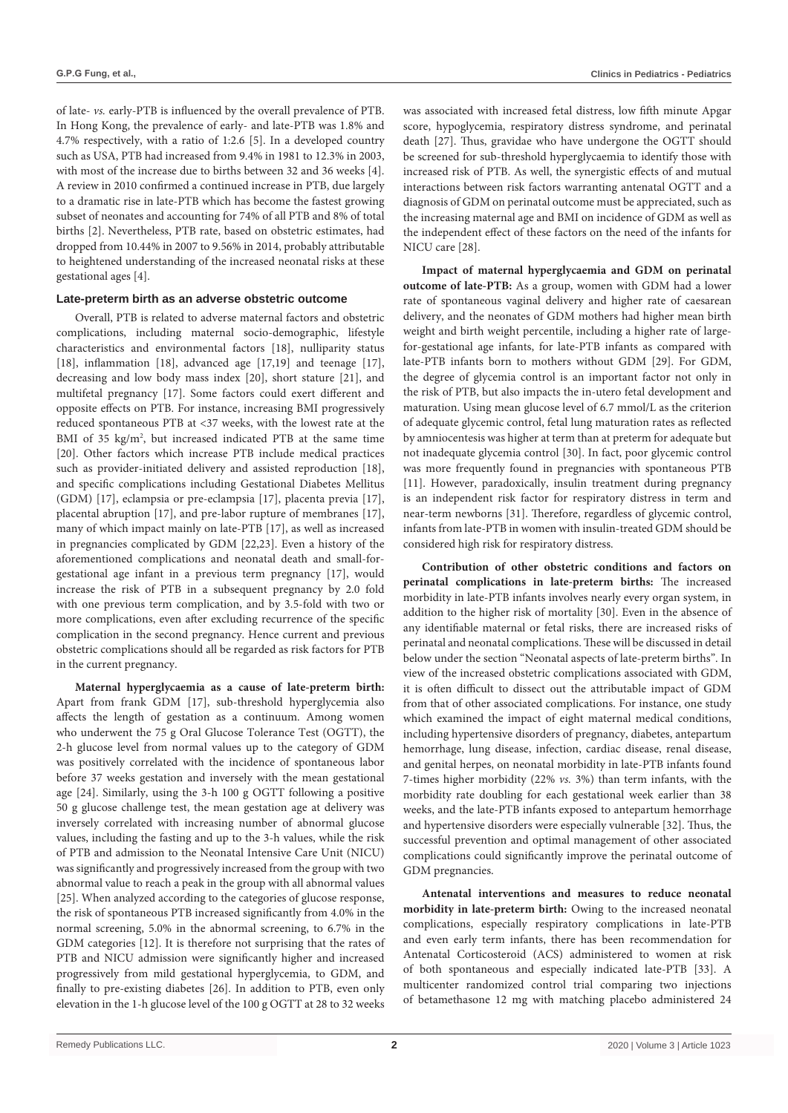of late- *vs.* early-PTB is influenced by the overall prevalence of PTB. In Hong Kong, the prevalence of early- and late-PTB was 1.8% and 4.7% respectively, with a ratio of 1:2.6 [5]. In a developed country such as USA, PTB had increased from 9.4% in 1981 to 12.3% in 2003, with most of the increase due to births between 32 and 36 weeks [4]. A review in 2010 confirmed a continued increase in PTB, due largely to a dramatic rise in late-PTB which has become the fastest growing subset of neonates and accounting for 74% of all PTB and 8% of total births [2]. Nevertheless, PTB rate, based on obstetric estimates, had dropped from 10.44% in 2007 to 9.56% in 2014, probably attributable to heightened understanding of the increased neonatal risks at these gestational ages [4].

## **Late-preterm birth as an adverse obstetric outcome**

Overall, PTB is related to adverse maternal factors and obstetric complications, including maternal socio-demographic, lifestyle characteristics and environmental factors [18], nulliparity status [18], inflammation [18], advanced age [17,19] and teenage [17], decreasing and low body mass index [20], short stature [21], and multifetal pregnancy [17]. Some factors could exert different and opposite effects on PTB. For instance, increasing BMI progressively reduced spontaneous PTB at <37 weeks, with the lowest rate at the BMI of 35 kg/m<sup>2</sup>, but increased indicated PTB at the same time [20]. Other factors which increase PTB include medical practices such as provider-initiated delivery and assisted reproduction [18], and specific complications including Gestational Diabetes Mellitus (GDM) [17], eclampsia or pre-eclampsia [17], placenta previa [17], placental abruption [17], and pre-labor rupture of membranes [17], many of which impact mainly on late-PTB [17], as well as increased in pregnancies complicated by GDM [22,23]. Even a history of the aforementioned complications and neonatal death and small-forgestational age infant in a previous term pregnancy [17], would increase the risk of PTB in a subsequent pregnancy by 2.0 fold with one previous term complication, and by 3.5-fold with two or more complications, even after excluding recurrence of the specific complication in the second pregnancy. Hence current and previous obstetric complications should all be regarded as risk factors for PTB in the current pregnancy.

**Maternal hyperglycaemia as a cause of late-preterm birth:** Apart from frank GDM [17], sub-threshold hyperglycemia also affects the length of gestation as a continuum. Among women who underwent the 75 g Oral Glucose Tolerance Test (OGTT), the 2-h glucose level from normal values up to the category of GDM was positively correlated with the incidence of spontaneous labor before 37 weeks gestation and inversely with the mean gestational age [24]. Similarly, using the 3-h 100 g OGTT following a positive 50 g glucose challenge test, the mean gestation age at delivery was inversely correlated with increasing number of abnormal glucose values, including the fasting and up to the 3-h values, while the risk of PTB and admission to the Neonatal Intensive Care Unit (NICU) was significantly and progressively increased from the group with two abnormal value to reach a peak in the group with all abnormal values [25]. When analyzed according to the categories of glucose response, the risk of spontaneous PTB increased significantly from 4.0% in the normal screening, 5.0% in the abnormal screening, to 6.7% in the GDM categories [12]. It is therefore not surprising that the rates of PTB and NICU admission were significantly higher and increased progressively from mild gestational hyperglycemia, to GDM, and finally to pre-existing diabetes [26]. In addition to PTB, even only elevation in the 1-h glucose level of the 100 g OGTT at 28 to 32 weeks was associated with increased fetal distress, low fifth minute Apgar score, hypoglycemia, respiratory distress syndrome, and perinatal death [27]. Thus, gravidae who have undergone the OGTT should be screened for sub-threshold hyperglycaemia to identify those with increased risk of PTB. As well, the synergistic effects of and mutual interactions between risk factors warranting antenatal OGTT and a diagnosis of GDM on perinatal outcome must be appreciated, such as the increasing maternal age and BMI on incidence of GDM as well as the independent effect of these factors on the need of the infants for NICU care [28].

**Impact of maternal hyperglycaemia and GDM on perinatal outcome of late-PTB:** As a group, women with GDM had a lower rate of spontaneous vaginal delivery and higher rate of caesarean delivery, and the neonates of GDM mothers had higher mean birth weight and birth weight percentile, including a higher rate of largefor-gestational age infants, for late-PTB infants as compared with late-PTB infants born to mothers without GDM [29]. For GDM, the degree of glycemia control is an important factor not only in the risk of PTB, but also impacts the in-utero fetal development and maturation. Using mean glucose level of 6.7 mmol/L as the criterion of adequate glycemic control, fetal lung maturation rates as reflected by amniocentesis was higher at term than at preterm for adequate but not inadequate glycemia control [30]. In fact, poor glycemic control was more frequently found in pregnancies with spontaneous PTB [11]. However, paradoxically, insulin treatment during pregnancy is an independent risk factor for respiratory distress in term and near-term newborns [31]. Therefore, regardless of glycemic control, infants from late-PTB in women with insulin-treated GDM should be considered high risk for respiratory distress.

**Contribution of other obstetric conditions and factors on perinatal complications in late-preterm births:** The increased morbidity in late-PTB infants involves nearly every organ system, in addition to the higher risk of mortality [30]. Even in the absence of any identifiable maternal or fetal risks, there are increased risks of perinatal and neonatal complications. These will be discussed in detail below under the section "Neonatal aspects of late-preterm births". In view of the increased obstetric complications associated with GDM, it is often difficult to dissect out the attributable impact of GDM from that of other associated complications. For instance, one study which examined the impact of eight maternal medical conditions, including hypertensive disorders of pregnancy, diabetes, antepartum hemorrhage, lung disease, infection, cardiac disease, renal disease, and genital herpes, on neonatal morbidity in late-PTB infants found 7-times higher morbidity (22% *vs.* 3%) than term infants, with the morbidity rate doubling for each gestational week earlier than 38 weeks, and the late-PTB infants exposed to antepartum hemorrhage and hypertensive disorders were especially vulnerable [32]. Thus, the successful prevention and optimal management of other associated complications could significantly improve the perinatal outcome of GDM pregnancies.

**Antenatal interventions and measures to reduce neonatal morbidity in late-preterm birth:** Owing to the increased neonatal complications, especially respiratory complications in late-PTB and even early term infants, there has been recommendation for Antenatal Corticosteroid (ACS) administered to women at risk of both spontaneous and especially indicated late-PTB [33]. A multicenter randomized control trial comparing two injections of betamethasone 12 mg with matching placebo administered 24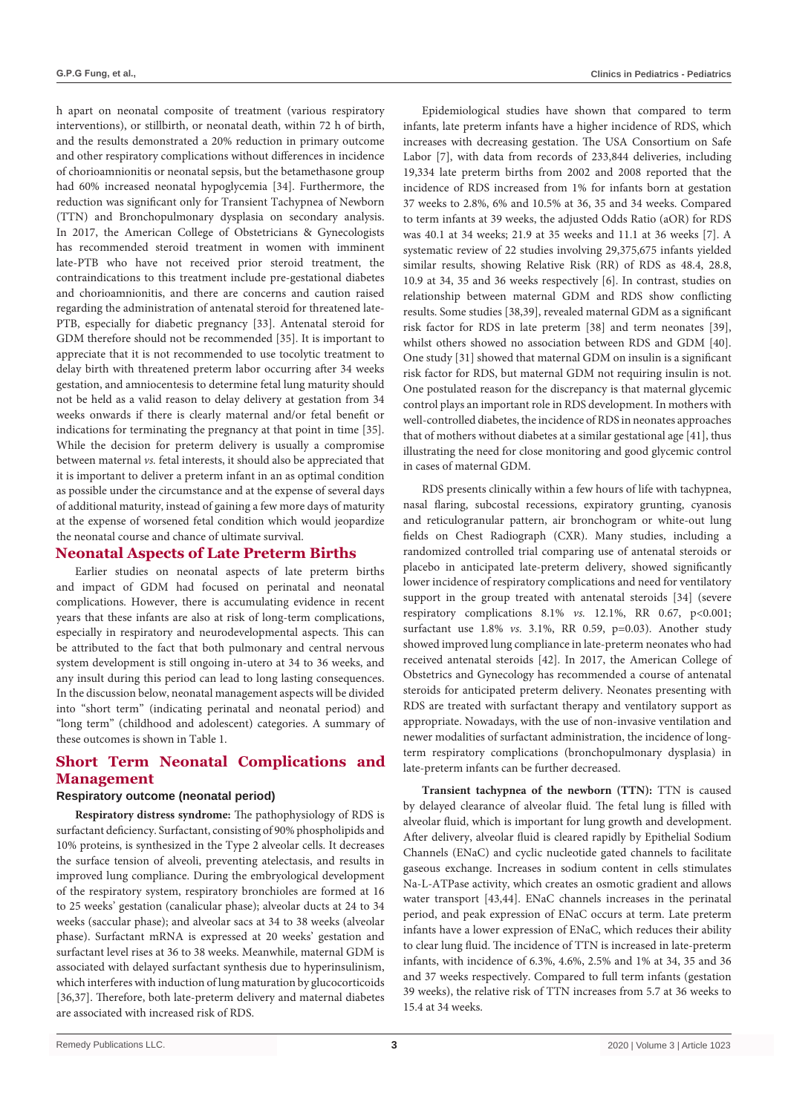h apart on neonatal composite of treatment (various respiratory interventions), or stillbirth, or neonatal death, within 72 h of birth, and the results demonstrated a 20% reduction in primary outcome and other respiratory complications without differences in incidence of chorioamnionitis or neonatal sepsis, but the betamethasone group had 60% increased neonatal hypoglycemia [34]. Furthermore, the reduction was significant only for Transient Tachypnea of Newborn (TTN) and Bronchopulmonary dysplasia on secondary analysis. In 2017, the American College of Obstetricians & Gynecologists has recommended steroid treatment in women with imminent late-PTB who have not received prior steroid treatment, the contraindications to this treatment include pre-gestational diabetes and chorioamnionitis, and there are concerns and caution raised regarding the administration of antenatal steroid for threatened late-PTB, especially for diabetic pregnancy [33]. Antenatal steroid for GDM therefore should not be recommended [35]. It is important to appreciate that it is not recommended to use tocolytic treatment to delay birth with threatened preterm labor occurring after 34 weeks gestation, and amniocentesis to determine fetal lung maturity should not be held as a valid reason to delay delivery at gestation from 34 weeks onwards if there is clearly maternal and/or fetal benefit or indications for terminating the pregnancy at that point in time [35]. While the decision for preterm delivery is usually a compromise between maternal *vs.* fetal interests, it should also be appreciated that it is important to deliver a preterm infant in an as optimal condition as possible under the circumstance and at the expense of several days of additional maturity, instead of gaining a few more days of maturity at the expense of worsened fetal condition which would jeopardize the neonatal course and chance of ultimate survival.

## **Neonatal Aspects of Late Preterm Births**

Earlier studies on neonatal aspects of late preterm births and impact of GDM had focused on perinatal and neonatal complications. However, there is accumulating evidence in recent years that these infants are also at risk of long-term complications, especially in respiratory and neurodevelopmental aspects. This can be attributed to the fact that both pulmonary and central nervous system development is still ongoing in-utero at 34 to 36 weeks, and any insult during this period can lead to long lasting consequences. In the discussion below, neonatal management aspects will be divided into "short term" (indicating perinatal and neonatal period) and "long term" (childhood and adolescent) categories. A summary of these outcomes is shown in Table 1.

# **Short Term Neonatal Complications and Management**

## **Respiratory outcome (neonatal period)**

**Respiratory distress syndrome:** The pathophysiology of RDS is surfactant deficiency. Surfactant, consisting of 90% phospholipids and 10% proteins, is synthesized in the Type 2 alveolar cells. It decreases the surface tension of alveoli, preventing atelectasis, and results in improved lung compliance. During the embryological development of the respiratory system, respiratory bronchioles are formed at 16 to 25 weeks' gestation (canalicular phase); alveolar ducts at 24 to 34 weeks (saccular phase); and alveolar sacs at 34 to 38 weeks (alveolar phase). Surfactant mRNA is expressed at 20 weeks' gestation and surfactant level rises at 36 to 38 weeks. Meanwhile, maternal GDM is associated with delayed surfactant synthesis due to hyperinsulinism, which interferes with induction of lung maturation by glucocorticoids [36,37]. Therefore, both late-preterm delivery and maternal diabetes are associated with increased risk of RDS.

Epidemiological studies have shown that compared to term infants, late preterm infants have a higher incidence of RDS, which increases with decreasing gestation. The USA Consortium on Safe Labor [7], with data from records of 233,844 deliveries, including 19,334 late preterm births from 2002 and 2008 reported that the incidence of RDS increased from 1% for infants born at gestation 37 weeks to 2.8%, 6% and 10.5% at 36, 35 and 34 weeks. Compared to term infants at 39 weeks, the adjusted Odds Ratio (aOR) for RDS was 40.1 at 34 weeks; 21.9 at 35 weeks and 11.1 at 36 weeks [7]. A systematic review of 22 studies involving 29,375,675 infants yielded similar results, showing Relative Risk (RR) of RDS as 48.4, 28.8, 10.9 at 34, 35 and 36 weeks respectively [6]. In contrast, studies on relationship between maternal GDM and RDS show conflicting results. Some studies [38,39], revealed maternal GDM as a significant risk factor for RDS in late preterm [38] and term neonates [39], whilst others showed no association between RDS and GDM [40]. One study [31] showed that maternal GDM on insulin is a significant risk factor for RDS, but maternal GDM not requiring insulin is not. One postulated reason for the discrepancy is that maternal glycemic control plays an important role in RDS development. In mothers with well-controlled diabetes, the incidence of RDS in neonates approaches that of mothers without diabetes at a similar gestational age [41], thus illustrating the need for close monitoring and good glycemic control in cases of maternal GDM.

RDS presents clinically within a few hours of life with tachypnea, nasal flaring, subcostal recessions, expiratory grunting, cyanosis and reticulogranular pattern, air bronchogram or white-out lung fields on Chest Radiograph (CXR). Many studies, including a randomized controlled trial comparing use of antenatal steroids or placebo in anticipated late-preterm delivery, showed significantly lower incidence of respiratory complications and need for ventilatory support in the group treated with antenatal steroids [34] (severe respiratory complications 8.1% *vs.* 12.1%, RR 0.67, p<0.001; surfactant use 1.8% *vs.* 3.1%, RR 0.59, p=0.03). Another study showed improved lung compliance in late-preterm neonates who had received antenatal steroids [42]. In 2017, the American College of Obstetrics and Gynecology has recommended a course of antenatal steroids for anticipated preterm delivery. Neonates presenting with RDS are treated with surfactant therapy and ventilatory support as appropriate. Nowadays, with the use of non-invasive ventilation and newer modalities of surfactant administration, the incidence of longterm respiratory complications (bronchopulmonary dysplasia) in late-preterm infants can be further decreased.

**Transient tachypnea of the newborn (TTN):** TTN is caused by delayed clearance of alveolar fluid. The fetal lung is filled with alveolar fluid, which is important for lung growth and development. After delivery, alveolar fluid is cleared rapidly by Epithelial Sodium Channels (ENaC) and cyclic nucleotide gated channels to facilitate gaseous exchange. Increases in sodium content in cells stimulates Na-L-ATPase activity, which creates an osmotic gradient and allows water transport [43,44]. ENaC channels increases in the perinatal period, and peak expression of ENaC occurs at term. Late preterm infants have a lower expression of ENaC, which reduces their ability to clear lung fluid. The incidence of TTN is increased in late-preterm infants, with incidence of 6.3%, 4.6%, 2.5% and 1% at 34, 35 and 36 and 37 weeks respectively. Compared to full term infants (gestation 39 weeks), the relative risk of TTN increases from 5.7 at 36 weeks to 15.4 at 34 weeks.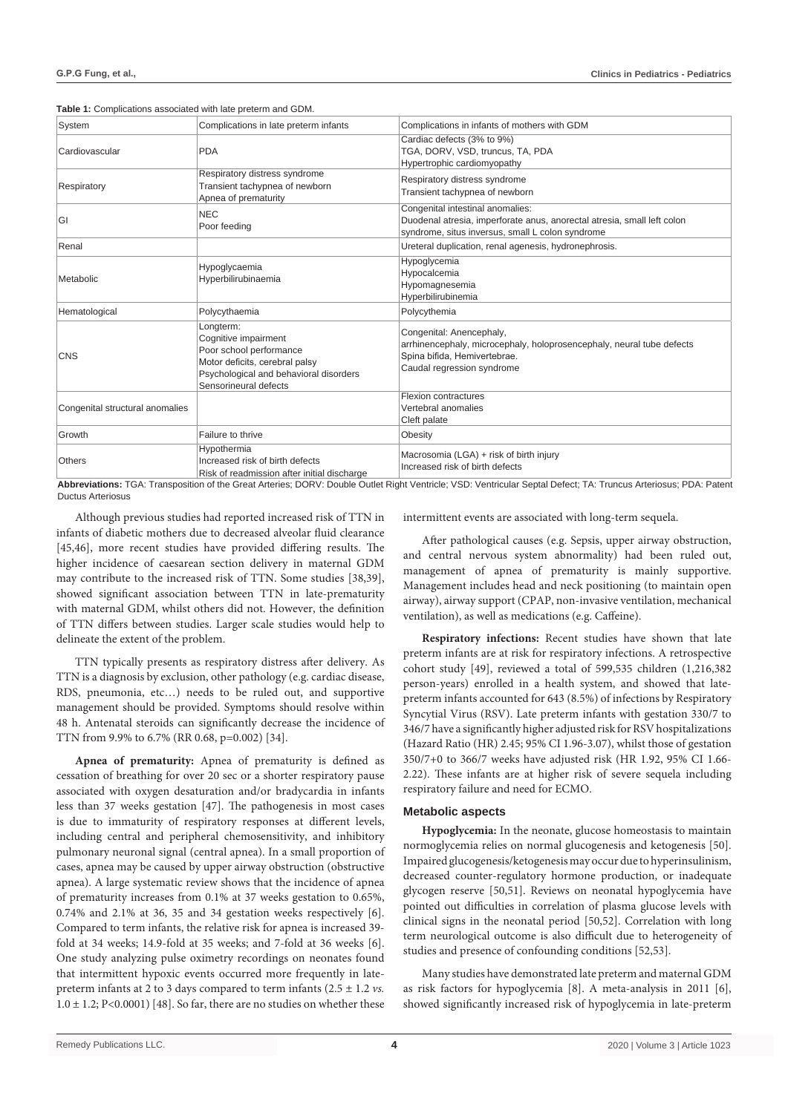|  | Table 1: Complications associated with late preterm and GDM. |  |  |  |
|--|--------------------------------------------------------------|--|--|--|
|--|--------------------------------------------------------------|--|--|--|

| System                          | Complications in late preterm infants                                                                                                                             | Complications in infants of mothers with GDM                                                                                                                    |  |
|---------------------------------|-------------------------------------------------------------------------------------------------------------------------------------------------------------------|-----------------------------------------------------------------------------------------------------------------------------------------------------------------|--|
| Cardiovascular                  | <b>PDA</b>                                                                                                                                                        | Cardiac defects (3% to 9%)<br>TGA, DORV, VSD, truncus, TA, PDA<br>Hypertrophic cardiomyopathy                                                                   |  |
| Respiratory                     | Respiratory distress syndrome<br>Transient tachypnea of newborn<br>Apnea of prematurity                                                                           | Respiratory distress syndrome<br>Transient tachypnea of newborn                                                                                                 |  |
| GI                              | <b>NEC</b><br>Poor feeding                                                                                                                                        | Congenital intestinal anomalies:<br>Duodenal atresia, imperforate anus, anorectal atresia, small left colon<br>syndrome, situs inversus, small L colon syndrome |  |
| Renal                           |                                                                                                                                                                   | Ureteral duplication, renal agenesis, hydronephrosis.                                                                                                           |  |
| Metabolic                       | Hypoglycaemia<br>Hyperbilirubinaemia                                                                                                                              | Hypoglycemia<br>Hypocalcemia<br>Hypomagnesemia<br>Hyperbilirubinemia                                                                                            |  |
| Hematological                   | Polycythaemia                                                                                                                                                     | Polycythemia                                                                                                                                                    |  |
| <b>CNS</b>                      | Longterm:<br>Cognitive impairment<br>Poor school performance<br>Motor deficits, cerebral palsy<br>Psychological and behavioral disorders<br>Sensorineural defects | Congenital: Anencephaly,<br>arrhinencephaly, microcephaly, holoprosencephaly, neural tube defects<br>Spina bifida, Hemivertebrae.<br>Caudal regression syndrome |  |
| Congenital structural anomalies |                                                                                                                                                                   | Flexion contractures<br>Vertebral anomalies<br>Cleft palate                                                                                                     |  |
| Growth                          | Failure to thrive                                                                                                                                                 | Obesity                                                                                                                                                         |  |
| Others                          | Hypothermia<br>Increased risk of birth defects<br>Risk of readmission after initial discharge                                                                     | Macrosomia (LGA) + risk of birth injury<br>Increased risk of birth defects                                                                                      |  |

**Abbreviations:** TGA: Transposition of the Great Arteries; DORV: Double Outlet Right Ventricle; VSD: Ventricular Septal Defect; TA: Truncus Arteriosus; PDA: Patent Ductus Arteriosus

Although previous studies had reported increased risk of TTN in infants of diabetic mothers due to decreased alveolar fluid clearance [45,46], more recent studies have provided differing results. The higher incidence of caesarean section delivery in maternal GDM may contribute to the increased risk of TTN. Some studies [38,39], showed significant association between TTN in late-prematurity with maternal GDM, whilst others did not. However, the definition of TTN differs between studies. Larger scale studies would help to delineate the extent of the problem.

TTN typically presents as respiratory distress after delivery. As TTN is a diagnosis by exclusion, other pathology (e.g. cardiac disease, RDS, pneumonia, etc…) needs to be ruled out, and supportive management should be provided. Symptoms should resolve within 48 h. Antenatal steroids can significantly decrease the incidence of TTN from 9.9% to 6.7% (RR 0.68, p=0.002) [34].

**Apnea of prematurity:** Apnea of prematurity is defined as cessation of breathing for over 20 sec or a shorter respiratory pause associated with oxygen desaturation and/or bradycardia in infants less than 37 weeks gestation [47]. The pathogenesis in most cases is due to immaturity of respiratory responses at different levels, including central and peripheral chemosensitivity, and inhibitory pulmonary neuronal signal (central apnea). In a small proportion of cases, apnea may be caused by upper airway obstruction (obstructive apnea). A large systematic review shows that the incidence of apnea of prematurity increases from 0.1% at 37 weeks gestation to 0.65%, 0.74% and 2.1% at 36, 35 and 34 gestation weeks respectively [6]. Compared to term infants, the relative risk for apnea is increased 39 fold at 34 weeks; 14.9-fold at 35 weeks; and 7-fold at 36 weeks [6]. One study analyzing pulse oximetry recordings on neonates found that intermittent hypoxic events occurred more frequently in latepreterm infants at 2 to 3 days compared to term infants (2.5 ± 1.2 *vs.*  $1.0 \pm 1.2$ ; P<0.0001) [48]. So far, there are no studies on whether these intermittent events are associated with long-term sequela.

After pathological causes (e.g. Sepsis, upper airway obstruction, and central nervous system abnormality) had been ruled out, management of apnea of prematurity is mainly supportive. Management includes head and neck positioning (to maintain open airway), airway support (CPAP, non-invasive ventilation, mechanical ventilation), as well as medications (e.g. Caffeine).

**Respiratory infections:** Recent studies have shown that late preterm infants are at risk for respiratory infections. A retrospective cohort study [49], reviewed a total of 599,535 children (1,216,382 person-years) enrolled in a health system, and showed that latepreterm infants accounted for 643 (8.5%) of infections by Respiratory Syncytial Virus (RSV). Late preterm infants with gestation 330/7 to 346/7 have a significantly higher adjusted risk for RSV hospitalizations (Hazard Ratio (HR) 2.45; 95% CI 1.96-3.07), whilst those of gestation 350/7+0 to 366/7 weeks have adjusted risk (HR 1.92, 95% CI 1.66- 2.22). These infants are at higher risk of severe sequela including respiratory failure and need for ECMO.

## **Metabolic aspects**

**Hypoglycemia:** In the neonate, glucose homeostasis to maintain normoglycemia relies on normal glucogenesis and ketogenesis [50]. Impaired glucogenesis/ketogenesis may occur due to hyperinsulinism, decreased counter-regulatory hormone production, or inadequate glycogen reserve [50,51]. Reviews on neonatal hypoglycemia have pointed out difficulties in correlation of plasma glucose levels with clinical signs in the neonatal period [50,52]. Correlation with long term neurological outcome is also difficult due to heterogeneity of studies and presence of confounding conditions [52,53].

Many studies have demonstrated late preterm and maternal GDM as risk factors for hypoglycemia [8]. A meta-analysis in 2011 [6], showed significantly increased risk of hypoglycemia in late-preterm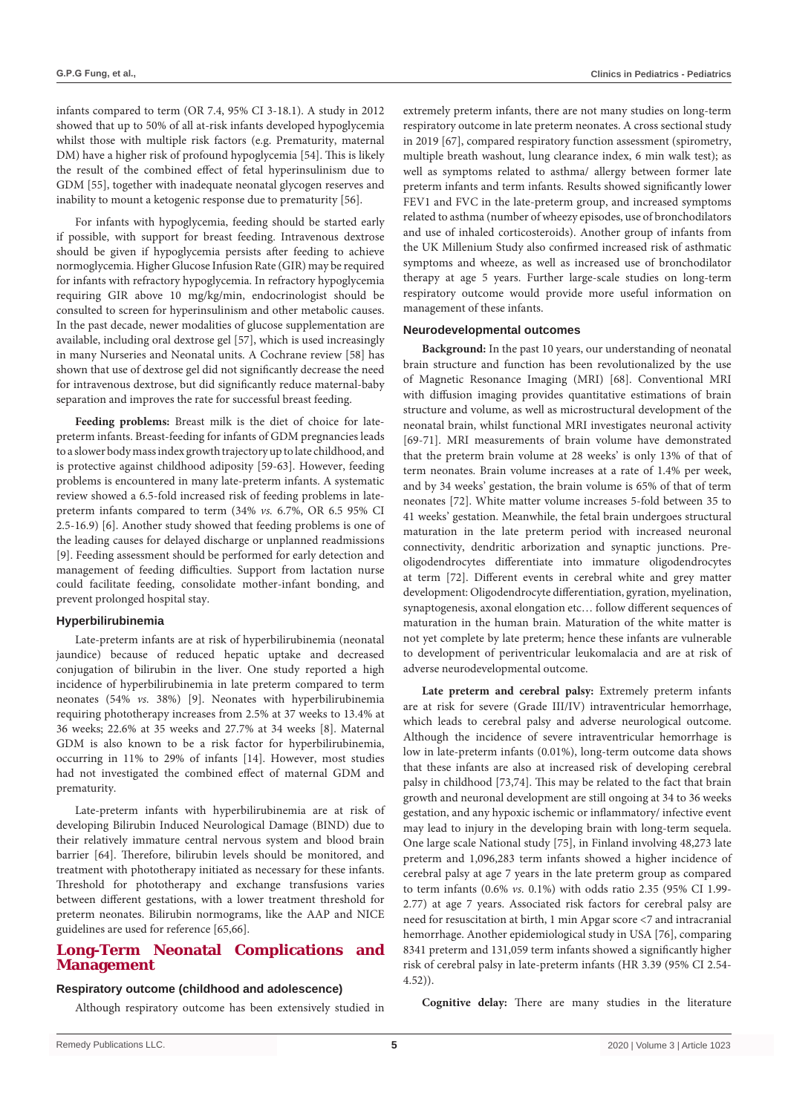infants compared to term (OR 7.4, 95% CI 3-18.1). A study in 2012 showed that up to 50% of all at-risk infants developed hypoglycemia whilst those with multiple risk factors (e.g. Prematurity, maternal DM) have a higher risk of profound hypoglycemia [54]. This is likely the result of the combined effect of fetal hyperinsulinism due to GDM [55], together with inadequate neonatal glycogen reserves and inability to mount a ketogenic response due to prematurity [56].

For infants with hypoglycemia, feeding should be started early if possible, with support for breast feeding. Intravenous dextrose should be given if hypoglycemia persists after feeding to achieve normoglycemia. Higher Glucose Infusion Rate (GIR) may be required for infants with refractory hypoglycemia. In refractory hypoglycemia requiring GIR above 10 mg/kg/min, endocrinologist should be consulted to screen for hyperinsulinism and other metabolic causes. In the past decade, newer modalities of glucose supplementation are available, including oral dextrose gel [57], which is used increasingly in many Nurseries and Neonatal units. A Cochrane review [58] has shown that use of dextrose gel did not significantly decrease the need for intravenous dextrose, but did significantly reduce maternal-baby separation and improves the rate for successful breast feeding.

**Feeding problems:** Breast milk is the diet of choice for latepreterm infants. Breast-feeding for infants of GDM pregnancies leads to a slower body mass index growth trajectory up to late childhood, and is protective against childhood adiposity [59-63]. However, feeding problems is encountered in many late-preterm infants. A systematic review showed a 6.5-fold increased risk of feeding problems in latepreterm infants compared to term (34% *vs.* 6.7%, OR 6.5 95% CI 2.5-16.9) [6]. Another study showed that feeding problems is one of the leading causes for delayed discharge or unplanned readmissions [9]. Feeding assessment should be performed for early detection and management of feeding difficulties. Support from lactation nurse could facilitate feeding, consolidate mother-infant bonding, and prevent prolonged hospital stay.

## **Hyperbilirubinemia**

Late-preterm infants are at risk of hyperbilirubinemia (neonatal jaundice) because of reduced hepatic uptake and decreased conjugation of bilirubin in the liver. One study reported a high incidence of hyperbilirubinemia in late preterm compared to term neonates (54% *vs.* 38%) [9]. Neonates with hyperbilirubinemia requiring phototherapy increases from 2.5% at 37 weeks to 13.4% at 36 weeks; 22.6% at 35 weeks and 27.7% at 34 weeks [8]. Maternal GDM is also known to be a risk factor for hyperbilirubinemia, occurring in 11% to 29% of infants [14]. However, most studies had not investigated the combined effect of maternal GDM and prematurity.

Late-preterm infants with hyperbilirubinemia are at risk of developing Bilirubin Induced Neurological Damage (BIND) due to their relatively immature central nervous system and blood brain barrier [64]. Therefore, bilirubin levels should be monitored, and treatment with phototherapy initiated as necessary for these infants. Threshold for phototherapy and exchange transfusions varies between different gestations, with a lower treatment threshold for preterm neonates. Bilirubin normograms, like the AAP and NICE guidelines are used for reference [65,66].

# **Long-Term Neonatal Complications and Management**

## **Respiratory outcome (childhood and adolescence)**

Although respiratory outcome has been extensively studied in

extremely preterm infants, there are not many studies on long-term respiratory outcome in late preterm neonates. A cross sectional study in 2019 [67], compared respiratory function assessment (spirometry, multiple breath washout, lung clearance index, 6 min walk test); as well as symptoms related to asthma/ allergy between former late preterm infants and term infants. Results showed significantly lower FEV1 and FVC in the late-preterm group, and increased symptoms related to asthma (number of wheezy episodes, use of bronchodilators and use of inhaled corticosteroids). Another group of infants from the UK Millenium Study also confirmed increased risk of asthmatic symptoms and wheeze, as well as increased use of bronchodilator therapy at age 5 years. Further large-scale studies on long-term respiratory outcome would provide more useful information on management of these infants.

## **Neurodevelopmental outcomes**

**Background:** In the past 10 years, our understanding of neonatal brain structure and function has been revolutionalized by the use of Magnetic Resonance Imaging (MRI) [68]. Conventional MRI with diffusion imaging provides quantitative estimations of brain structure and volume, as well as microstructural development of the neonatal brain, whilst functional MRI investigates neuronal activity [69-71]. MRI measurements of brain volume have demonstrated that the preterm brain volume at 28 weeks' is only 13% of that of term neonates. Brain volume increases at a rate of 1.4% per week, and by 34 weeks' gestation, the brain volume is 65% of that of term neonates [72]. White matter volume increases 5-fold between 35 to 41 weeks' gestation. Meanwhile, the fetal brain undergoes structural maturation in the late preterm period with increased neuronal connectivity, dendritic arborization and synaptic junctions. Preoligodendrocytes differentiate into immature oligodendrocytes at term [72]. Different events in cerebral white and grey matter development: Oligodendrocyte differentiation, gyration, myelination, synaptogenesis, axonal elongation etc… follow different sequences of maturation in the human brain. Maturation of the white matter is not yet complete by late preterm; hence these infants are vulnerable to development of periventricular leukomalacia and are at risk of adverse neurodevelopmental outcome.

**Late preterm and cerebral palsy:** Extremely preterm infants are at risk for severe (Grade III/IV) intraventricular hemorrhage, which leads to cerebral palsy and adverse neurological outcome. Although the incidence of severe intraventricular hemorrhage is low in late-preterm infants (0.01%), long-term outcome data shows that these infants are also at increased risk of developing cerebral palsy in childhood [73,74]. This may be related to the fact that brain growth and neuronal development are still ongoing at 34 to 36 weeks gestation, and any hypoxic ischemic or inflammatory/ infective event may lead to injury in the developing brain with long-term sequela. One large scale National study [75], in Finland involving 48,273 late preterm and 1,096,283 term infants showed a higher incidence of cerebral palsy at age 7 years in the late preterm group as compared to term infants (0.6% *vs.* 0.1%) with odds ratio 2.35 (95% CI 1.99- 2.77) at age 7 years. Associated risk factors for cerebral palsy are need for resuscitation at birth, 1 min Apgar score <7 and intracranial hemorrhage. Another epidemiological study in USA [76], comparing 8341 preterm and 131,059 term infants showed a significantly higher risk of cerebral palsy in late-preterm infants (HR 3.39 (95% CI 2.54- 4.52)).

**Cognitive delay:** There are many studies in the literature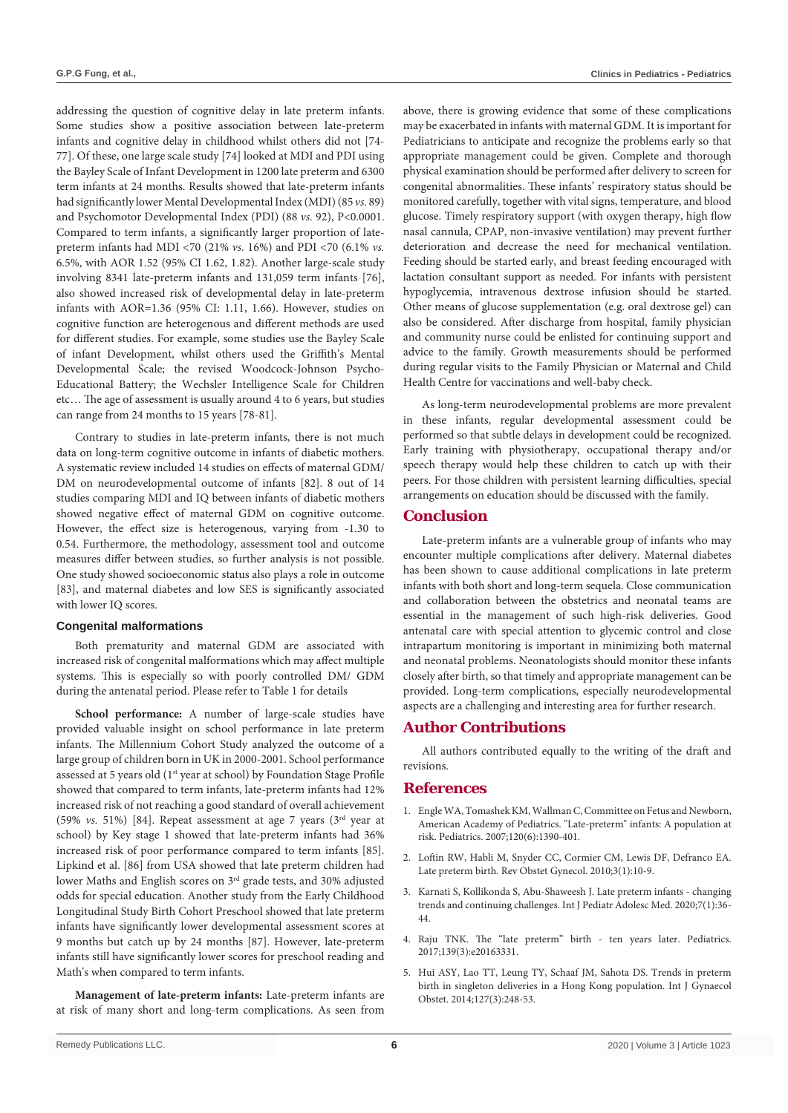addressing the question of cognitive delay in late preterm infants. Some studies show a positive association between late-preterm infants and cognitive delay in childhood whilst others did not [74- 77]. Of these, one large scale study [74] looked at MDI and PDI using the Bayley Scale of Infant Development in 1200 late preterm and 6300 term infants at 24 months. Results showed that late-preterm infants had significantly lower Mental Developmental Index (MDI) (85 *vs.* 89) and Psychomotor Developmental Index (PDI) (88  $\nu$ s. 92), P<0.0001. Compared to term infants, a significantly larger proportion of latepreterm infants had MDI <70 (21% *vs.* 16%) and PDI <70 (6.1% *vs.* 6.5%, with AOR 1.52 (95% CI 1.62, 1.82). Another large-scale study involving 8341 late-preterm infants and 131,059 term infants [76], also showed increased risk of developmental delay in late-preterm infants with AOR=1.36 (95% CI: 1.11, 1.66). However, studies on cognitive function are heterogenous and different methods are used for different studies. For example, some studies use the Bayley Scale of infant Development, whilst others used the Griffith's Mental Developmental Scale; the revised Woodcock-Johnson Psycho-Educational Battery; the Wechsler Intelligence Scale for Children etc… The age of assessment is usually around 4 to 6 years, but studies can range from 24 months to 15 years [78-81].

Contrary to studies in late-preterm infants, there is not much data on long-term cognitive outcome in infants of diabetic mothers. A systematic review included 14 studies on effects of maternal GDM/ DM on neurodevelopmental outcome of infants [82]. 8 out of 14 studies comparing MDI and IQ between infants of diabetic mothers showed negative effect of maternal GDM on cognitive outcome. However, the effect size is heterogenous, varying from -1.30 to 0.54. Furthermore, the methodology, assessment tool and outcome measures differ between studies, so further analysis is not possible. One study showed socioeconomic status also plays a role in outcome [83], and maternal diabetes and low SES is significantly associated with lower IQ scores.

## **Congenital malformations**

Both prematurity and maternal GDM are associated with increased risk of congenital malformations which may affect multiple systems. This is especially so with poorly controlled DM/ GDM during the antenatal period. Please refer to Table 1 for details

**School performance:** A number of large-scale studies have provided valuable insight on school performance in late preterm infants. The Millennium Cohort Study analyzed the outcome of a large group of children born in UK in 2000-2001. School performance assessed at 5 years old (1<sup>st</sup> year at school) by Foundation Stage Profile showed that compared to term infants, late-preterm infants had 12% increased risk of not reaching a good standard of overall achievement (59% *vs.* 51%) [84]. Repeat assessment at age 7 years (3rd year at school) by Key stage 1 showed that late-preterm infants had 36% increased risk of poor performance compared to term infants [85]. Lipkind et al. [86] from USA showed that late preterm children had lower Maths and English scores on  $3^{\rm rd}$  grade tests, and 30% adjusted odds for special education. Another study from the Early Childhood Longitudinal Study Birth Cohort Preschool showed that late preterm infants have significantly lower developmental assessment scores at 9 months but catch up by 24 months [87]. However, late-preterm infants still have significantly lower scores for preschool reading and Math's when compared to term infants.

**Management of late-preterm infants:** Late-preterm infants are at risk of many short and long-term complications. As seen from

above, there is growing evidence that some of these complications may be exacerbated in infants with maternal GDM. It is important for Pediatricians to anticipate and recognize the problems early so that appropriate management could be given. Complete and thorough physical examination should be performed after delivery to screen for congenital abnormalities. These infants' respiratory status should be monitored carefully, together with vital signs, temperature, and blood glucose. Timely respiratory support (with oxygen therapy, high flow nasal cannula, CPAP, non-invasive ventilation) may prevent further deterioration and decrease the need for mechanical ventilation. Feeding should be started early, and breast feeding encouraged with lactation consultant support as needed. For infants with persistent hypoglycemia, intravenous dextrose infusion should be started. Other means of glucose supplementation (e.g. oral dextrose gel) can also be considered. After discharge from hospital, family physician and community nurse could be enlisted for continuing support and advice to the family. Growth measurements should be performed during regular visits to the Family Physician or Maternal and Child Health Centre for vaccinations and well-baby check.

As long-term neurodevelopmental problems are more prevalent in these infants, regular developmental assessment could be performed so that subtle delays in development could be recognized. Early training with physiotherapy, occupational therapy and/or speech therapy would help these children to catch up with their peers. For those children with persistent learning difficulties, special arrangements on education should be discussed with the family.

## **Conclusion**

Late-preterm infants are a vulnerable group of infants who may encounter multiple complications after delivery. Maternal diabetes has been shown to cause additional complications in late preterm infants with both short and long-term sequela. Close communication and collaboration between the obstetrics and neonatal teams are essential in the management of such high-risk deliveries. Good antenatal care with special attention to glycemic control and close intrapartum monitoring is important in minimizing both maternal and neonatal problems. Neonatologists should monitor these infants closely after birth, so that timely and appropriate management can be provided. Long-term complications, especially neurodevelopmental aspects are a challenging and interesting area for further research.

# **Author Contributions**

All authors contributed equally to the writing of the draft and revisions.

## **References**

- 1. [Engle WA, Tomashek KM, Wallman C, Committee on Fetus and Newborn,](https://pubmed.ncbi.nlm.nih.gov/18055691/)  [American Academy of Pediatrics. "Late-preterm" infants: A population at](https://pubmed.ncbi.nlm.nih.gov/18055691/)  [risk. Pediatrics. 2007;120\(6\):1390-401.](https://pubmed.ncbi.nlm.nih.gov/18055691/)
- 2. Loftin RW, Habli M, Snyder CC, Cormier CM, Lewis DF, Defranco EA. Late preterm birth. Rev Obstet Gynecol. 2010;3(1):10-9.
- 3. [Karnati S, Kollikonda S, Abu-Shaweesh J. Late preterm infants changing](https://pubmed.ncbi.nlm.nih.gov/32373701/)  [trends and continuing challenges. Int J Pediatr Adolesc Med. 2020;7\(1\):36-](https://pubmed.ncbi.nlm.nih.gov/32373701/) [44.](https://pubmed.ncbi.nlm.nih.gov/32373701/)
- 4. [Raju TNK. The "late preterm" birth ten years later. Pediatrics.](https://pubmed.ncbi.nlm.nih.gov/28148728/)  [2017;139\(3\):e20163331.](https://pubmed.ncbi.nlm.nih.gov/28148728/)
- 5. [Hui ASY, Lao TT, Leung TY, Schaaf JM, Sahota DS. Trends in preterm](https://pubmed.ncbi.nlm.nih.gov/25190352/)  [birth in singleton deliveries in a Hong Kong population. Int J Gynaecol](https://pubmed.ncbi.nlm.nih.gov/25190352/)  [Obstet. 2014;127\(3\):248-53.](https://pubmed.ncbi.nlm.nih.gov/25190352/)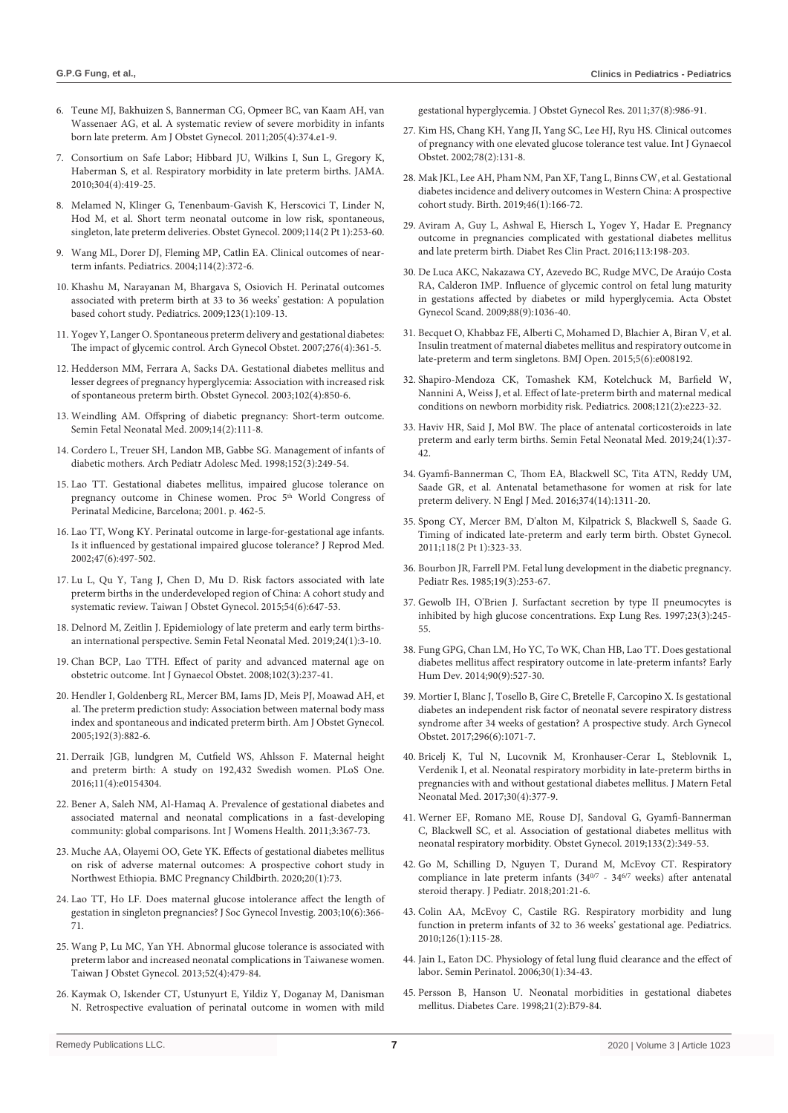- 6. Teune MJ, Bakhuizen S, Bannerman CG, Opmeer BC, van Kaam AH, van Wassenaer AG, et al. A systematic review of severe morbidity in infants born late preterm. Am J Obstet Gynecol. 2011;205(4):374.e1-9.
- 7. Consortium on Safe Labor; Hibbard JU, Wilkins I, Sun L, Gregory K, Haberman S, et al. Respiratory morbidity in late preterm births. JAMA. 2010;304(4):419-25.
- 8. [Melamed N, Klinger G, Tenenbaum-Gavish K, Herscovici T, Linder N,](https://pubmed.ncbi.nlm.nih.gov/19622985/)  [Hod M, et al. Short term neonatal outcome in low risk, spontaneous,](https://pubmed.ncbi.nlm.nih.gov/19622985/)  [singleton, late preterm deliveries. Obstet Gynecol. 2009;114\(2 Pt 1\):253-60.](https://pubmed.ncbi.nlm.nih.gov/19622985/)
- 9. [Wang ML, Dorer DJ, Fleming MP, Catlin EA. Clinical outcomes of near](https://pubmed.ncbi.nlm.nih.gov/15286219/)[term infants. Pediatrics. 2004;114\(2\):372-6.](https://pubmed.ncbi.nlm.nih.gov/15286219/)
- 10. [Khashu M, Narayanan M, Bhargava S, Osiovich H. Perinatal outcomes](https://pubmed.ncbi.nlm.nih.gov/19117868/)  [associated with preterm birth at 33 to 36 weeks' gestation: A population](https://pubmed.ncbi.nlm.nih.gov/19117868/)  [based cohort study. Pediatrics. 2009;123\(1\):109-13.](https://pubmed.ncbi.nlm.nih.gov/19117868/)
- 11. [Yogev Y, Langer O. Spontaneous preterm delivery and gestational diabetes:](https://pubmed.ncbi.nlm.nih.gov/17429669/)  [The impact of glycemic control. Arch Gynecol Obstet. 2007;276\(4\):361-5.](https://pubmed.ncbi.nlm.nih.gov/17429669/)
- 12. [Hedderson MM, Ferrara A, Sacks DA. Gestational diabetes mellitus and](https://pubmed.ncbi.nlm.nih.gov/14551018/)  [lesser degrees of pregnancy hyperglycemia: Association with increased risk](https://pubmed.ncbi.nlm.nih.gov/14551018/)  [of spontaneous preterm birth. Obstet Gynecol. 2003;102\(4\):850-6.](https://pubmed.ncbi.nlm.nih.gov/14551018/)
- 13. [Weindling AM. Offspring of diabetic pregnancy: Short-term outcome.](https://pubmed.ncbi.nlm.nih.gov/19249005/)  [Semin Fetal Neonatal Med. 2009;14\(2\):111-8.](https://pubmed.ncbi.nlm.nih.gov/19249005/)
- 14. [Cordero L, Treuer SH, Landon MB, Gabbe SG. Management of infants of](https://pubmed.ncbi.nlm.nih.gov/9529462/)  [diabetic mothers. Arch Pediatr Adolesc Med. 1998;152\(3\):249-54.](https://pubmed.ncbi.nlm.nih.gov/9529462/)
- 15. Lao TT. Gestational diabetes mellitus, impaired glucose tolerance on pregnancy outcome in Chinese women. Proc 5<sup>th</sup> World Congress of Perinatal Medicine, Barcelona; 2001. p. 462-5.
- 16. [Lao TT, Wong KY. Perinatal outcome in large-for-gestational age infants.](https://pubmed.ncbi.nlm.nih.gov/12092021/)  [Is it influenced by gestational impaired glucose tolerance? J Reprod Med.](https://pubmed.ncbi.nlm.nih.gov/12092021/)  [2002;47\(6\):497-502.](https://pubmed.ncbi.nlm.nih.gov/12092021/)
- 17. [Lu L, Qu Y, Tang J, Chen D, Mu D. Risk factors associated with late](https://pubmed.ncbi.nlm.nih.gov/26700979/)  [preterm births in the underdeveloped region of China: A cohort study and](https://pubmed.ncbi.nlm.nih.gov/26700979/)  [systematic review. Taiwan J Obstet Gynecol. 2015;54\(6\):647-53.](https://pubmed.ncbi.nlm.nih.gov/26700979/)
- 18. [Delnord M, Zeitlin J. Epidemiology of late preterm and early term births](https://pubmed.ncbi.nlm.nih.gov/30309813/)[an international perspective. Semin Fetal Neonatal Med. 2019;24\(1\):3-10.](https://pubmed.ncbi.nlm.nih.gov/30309813/)
- 19. [Chan BCP, Lao TTH. Effect of parity and advanced maternal age on](https://pubmed.ncbi.nlm.nih.gov/18606410/)  [obstetric outcome. Int J Gynaecol Obstet. 2008;102\(3\):237-41.](https://pubmed.ncbi.nlm.nih.gov/18606410/)
- 20. [Hendler I, Goldenberg RL, Mercer BM, Iams JD, Meis PJ, Moawad AH, et](https://pubmed.ncbi.nlm.nih.gov/15746686/)  [al. The preterm prediction study: Association between maternal body mass](https://pubmed.ncbi.nlm.nih.gov/15746686/)  [index and spontaneous and indicated preterm birth. Am J Obstet Gynecol.](https://pubmed.ncbi.nlm.nih.gov/15746686/)  [2005;192\(3\):882-6.](https://pubmed.ncbi.nlm.nih.gov/15746686/)
- 21. [Derraik JGB, lundgren M, Cutfield WS, Ahlsson F. Maternal height](https://www.ncbi.nlm.nih.gov/pmc/articles/PMC4839587/)  [and preterm birth: A study on 192,432 Swedish women. PLoS One.](https://www.ncbi.nlm.nih.gov/pmc/articles/PMC4839587/)  [2016;11\(4\):e0154304.](https://www.ncbi.nlm.nih.gov/pmc/articles/PMC4839587/)
- 22. [Bener A, Saleh NM, Al-Hamaq A. Prevalence of gestational diabetes and](https://pubmed.ncbi.nlm.nih.gov/22140323/)  [associated maternal and neonatal complications in a fast-developing](https://pubmed.ncbi.nlm.nih.gov/22140323/)  [community: global comparisons. Int J Womens Health. 2011;3:367-73.](https://pubmed.ncbi.nlm.nih.gov/22140323/)
- 23. [Muche AA, Olayemi OO, Gete YK. Effects of gestational diabetes mellitus](https://pubmed.ncbi.nlm.nih.gov/32013909/)  [on risk of adverse maternal outcomes: A prospective cohort study in](https://pubmed.ncbi.nlm.nih.gov/32013909/)  [Northwest Ethiopia. BMC Pregnancy Childbirth. 2020;20\(1\):73.](https://pubmed.ncbi.nlm.nih.gov/32013909/)
- 24. Lao TT, Ho LF. Does maternal glucose intolerance affect the length of gestation in singleton pregnancies? J Soc Gynecol Investig. 2003;10(6):366- 71.
- 25. [Wang P, Lu MC, Yan YH. Abnormal glucose tolerance is associated with](https://pubmed.ncbi.nlm.nih.gov/24411030/)  [preterm labor and increased neonatal complications in Taiwanese women.](https://pubmed.ncbi.nlm.nih.gov/24411030/)  [Taiwan J Obstet Gynecol. 2013;52\(4\):479-84.](https://pubmed.ncbi.nlm.nih.gov/24411030/)
- 26. [Kaymak O, Iskender CT, Ustunyurt E, Yildiz Y, Doganay M, Danisman](https://obgyn.onlinelibrary.wiley.com/doi/abs/10.1111/j.1447-0756.2010.01469.x)  [N. Retrospective evaluation of perinatal outcome in women with mild](https://obgyn.onlinelibrary.wiley.com/doi/abs/10.1111/j.1447-0756.2010.01469.x)

[gestational hyperglycemia. J Obstet Gynecol Res. 2011;37\(8\):986-91.](https://obgyn.onlinelibrary.wiley.com/doi/abs/10.1111/j.1447-0756.2010.01469.x)

- 27. [Kim HS, Chang KH, Yang JI, Yang SC, Lee HJ, Ryu HS. Clinical outcomes](https://pubmed.ncbi.nlm.nih.gov/12175714/)  [of pregnancy with one elevated glucose tolerance test value. Int J Gynaecol](https://pubmed.ncbi.nlm.nih.gov/12175714/)  [Obstet. 2002;78\(2\):131-8.](https://pubmed.ncbi.nlm.nih.gov/12175714/)
- 28. [Mak JKL, Lee AH, Pham NM, Pan XF, Tang L, Binns CW, et al. Gestational](https://pubmed.ncbi.nlm.nih.gov/30216525/)  [diabetes incidence and delivery outcomes in Western China: A prospective](https://pubmed.ncbi.nlm.nih.gov/30216525/)  [cohort study. Birth. 2019;46\(1\):166-72.](https://pubmed.ncbi.nlm.nih.gov/30216525/)
- 29. [Aviram A, Guy L, Ashwal E, Hiersch L, Yogev Y, Hadar E. Pregnancy](https://www.sciencedirect.com/science/article/abs/pii/S0168822716000243)  [outcome in pregnancies complicated with gestational diabetes mellitus](https://www.sciencedirect.com/science/article/abs/pii/S0168822716000243)  [and late preterm birth. Diabet Res Clin Pract. 2016;113:198-203.](https://www.sciencedirect.com/science/article/abs/pii/S0168822716000243)
- 30. [De Luca AKC, Nakazawa CY, Azevedo BC, Rudge MVC, De Araújo Costa](https://pubmed.ncbi.nlm.nih.gov/19636976/)  [RA, Calderon IMP. Influence of glycemic control on fetal lung maturity](https://pubmed.ncbi.nlm.nih.gov/19636976/)  [in gestations affected by diabetes or mild hyperglycemia. Acta Obstet](https://pubmed.ncbi.nlm.nih.gov/19636976/)  [Gynecol Scand. 2009;88\(9\):1036-40.](https://pubmed.ncbi.nlm.nih.gov/19636976/)
- 31. [Becquet O, Khabbaz FE, Alberti C, Mohamed D, Blachier A, Biran V, et al.](https://bmjopen.bmj.com/content/5/6/e008192)  [Insulin treatment of maternal diabetes mellitus and respiratory outcome in](https://bmjopen.bmj.com/content/5/6/e008192)  [late-preterm and term singletons. BMJ Open. 2015;5\(6\):e008192.](https://bmjopen.bmj.com/content/5/6/e008192)
- 32. [Shapiro-Mendoza CK, Tomashek KM, Kotelchuck M, Barfield W,](https://pubmed.ncbi.nlm.nih.gov/18245397/)  [Nannini A, Weiss J, et al. Effect of late-preterm birth and maternal medical](https://pubmed.ncbi.nlm.nih.gov/18245397/)  [conditions on newborn morbidity risk. Pediatrics. 2008;121\(2\):e223-32.](https://pubmed.ncbi.nlm.nih.gov/18245397/)
- 33. [Haviv HR, Said J, Mol BW. The place of antenatal corticosteroids in late](https://pubmed.ncbi.nlm.nih.gov/30322825/)  [preterm and early term births. Semin Fetal Neonatal Med. 2019;24\(1\):37-](https://pubmed.ncbi.nlm.nih.gov/30322825/) [42.](https://pubmed.ncbi.nlm.nih.gov/30322825/)
- 34. [Gyamfi-Bannerman C, Thom EA, Blackwell SC, Tita ATN, Reddy UM,](https://pubmed.ncbi.nlm.nih.gov/26842679/)  [Saade GR, et al. Antenatal betamethasone for women at risk for late](https://pubmed.ncbi.nlm.nih.gov/26842679/)  [preterm delivery. N Engl J Med. 2016;374\(14\):1311-20.](https://pubmed.ncbi.nlm.nih.gov/26842679/)
- 35. [Spong CY, Mercer BM, D'alton M, Kilpatrick S, Blackwell S, Saade G.](https://pubmed.ncbi.nlm.nih.gov/21775849/)  [Timing of indicated late-preterm and early term birth. Obstet Gynecol.](https://pubmed.ncbi.nlm.nih.gov/21775849/)  [2011;118\(2 Pt 1\):323-33.](https://pubmed.ncbi.nlm.nih.gov/21775849/)
- 36. [Bourbon JR, Farrell PM. Fetal lung development in the diabetic pregnancy.](https://pubmed.ncbi.nlm.nih.gov/3885150/)  [Pediatr Res. 1985;19\(3\):253-67.](https://pubmed.ncbi.nlm.nih.gov/3885150/)
- 37. [Gewolb IH, O'Brien J. Surfactant secretion by type II pneumocytes is](https://pubmed.ncbi.nlm.nih.gov/9184791/)  [inhibited by high glucose concentrations. Exp Lung Res. 1997;23\(3\):245-](https://pubmed.ncbi.nlm.nih.gov/9184791/) [55.](https://pubmed.ncbi.nlm.nih.gov/9184791/)
- 38. [Fung GPG, Chan LM, Ho YC, To WK, Chan HB, Lao TT. Does gestational](https://pubmed.ncbi.nlm.nih.gov/24819408/)  [diabetes mellitus affect respiratory outcome in late-preterm infants? Early](https://pubmed.ncbi.nlm.nih.gov/24819408/)  [Hum Dev. 2014;90\(9\):527-30.](https://pubmed.ncbi.nlm.nih.gov/24819408/)
- 39. [Mortier I, Blanc J, Tosello B, Gire C, Bretelle F, Carcopino X. Is gestational](https://pubmed.ncbi.nlm.nih.gov/28948345/)  [diabetes an independent risk factor of neonatal severe respiratory distress](https://pubmed.ncbi.nlm.nih.gov/28948345/)  [syndrome after 34 weeks of gestation? A prospective study. Arch Gynecol](https://pubmed.ncbi.nlm.nih.gov/28948345/)  [Obstet. 2017;296\(6\):1071-7.](https://pubmed.ncbi.nlm.nih.gov/28948345/)
- 40. [Bricelj K, Tul N, Lucovnik M, Kronhauser-Cerar L, Steblovnik L,](https://pubmed.ncbi.nlm.nih.gov/27052752/)  [Verdenik I, et al. Neonatal respiratory morbidity in late-preterm births in](https://pubmed.ncbi.nlm.nih.gov/27052752/)  [pregnancies with and without gestational diabetes mellitus. J Matern Fetal](https://pubmed.ncbi.nlm.nih.gov/27052752/)  [Neonatal Med. 2017;30\(4\):377-9.](https://pubmed.ncbi.nlm.nih.gov/27052752/)
- 41. [Werner EF, Romano ME, Rouse DJ, Sandoval G, Gyamfi-Bannerman](https://pubmed.ncbi.nlm.nih.gov/30633135/)  [C, Blackwell SC, et al. Association of gestational diabetes mellitus with](https://pubmed.ncbi.nlm.nih.gov/30633135/)  [neonatal respiratory morbidity. Obstet Gynecol. 2019;133\(2\):349-53.](https://pubmed.ncbi.nlm.nih.gov/30633135/)
- 42. [Go M, Schilling D, Nguyen T, Durand M, McEvoy CT. Respiratory](https://www.ncbi.nlm.nih.gov/pmc/articles/PMC6153025/)  [compliance in late preterm infants \(34](https://www.ncbi.nlm.nih.gov/pmc/articles/PMC6153025/)0/7 - 346/7 weeks) after antenatal [steroid therapy. J Pediatr. 2018;201:21-6.](https://www.ncbi.nlm.nih.gov/pmc/articles/PMC6153025/)
- 43. [Colin AA, McEvoy C, Castile RG. Respiratory morbidity and lung](https://pubmed.ncbi.nlm.nih.gov/20530073/)  [function in preterm infants of 32 to 36 weeks' gestational age. Pediatrics.](https://pubmed.ncbi.nlm.nih.gov/20530073/)  [2010;126\(1\):115-28.](https://pubmed.ncbi.nlm.nih.gov/20530073/)
- 44. [Jain L, Eaton DC. Physiology of fetal lung fluid clearance and the effect of](https://pubmed.ncbi.nlm.nih.gov/16549212/)  [labor. Semin Perinatol. 2006;30\(1\):34-43.](https://pubmed.ncbi.nlm.nih.gov/16549212/)
- 45. [Persson B, Hanson U. Neonatal morbidities in gestational diabetes](https://pubmed.ncbi.nlm.nih.gov/9704232/)  [mellitus. Diabetes Care. 1998;21\(2\):B79-84.](https://pubmed.ncbi.nlm.nih.gov/9704232/)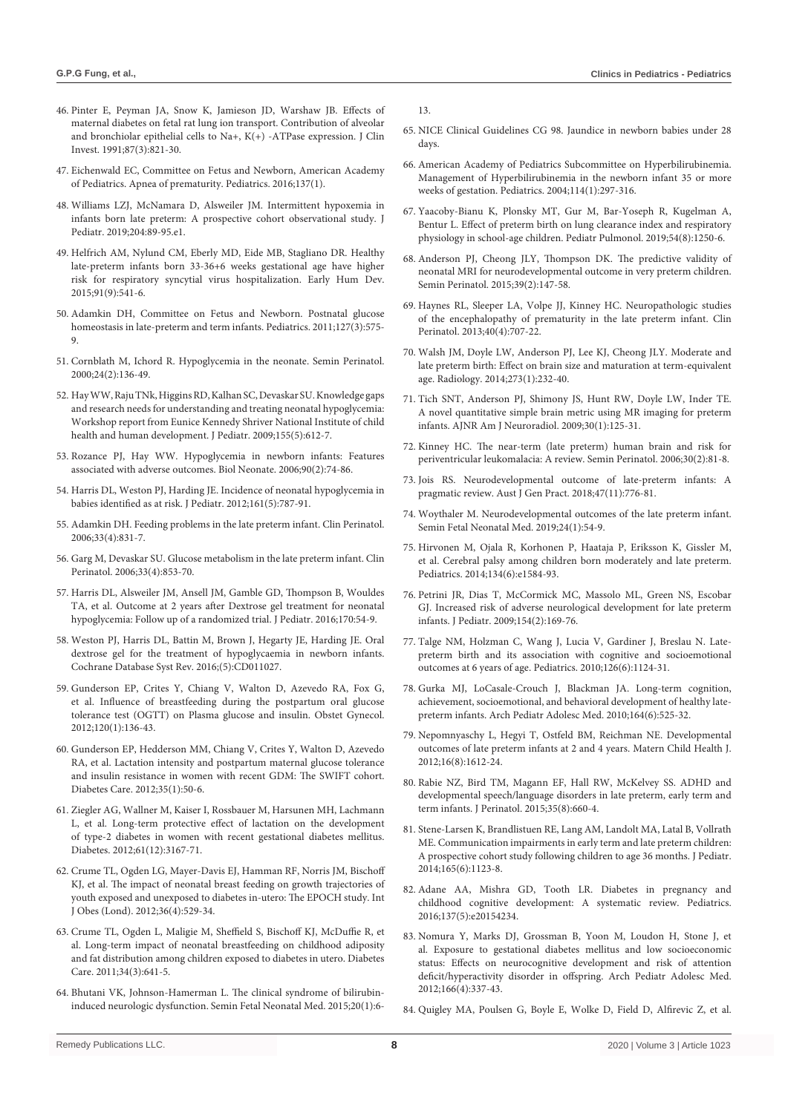- 46. [Pinter E, Peyman JA, Snow K, Jamieson JD, Warshaw JB. Effects of](https://pubmed.ncbi.nlm.nih.gov/1847938/)  [maternal diabetes on fetal rat lung ion transport. Contribution of alveolar](https://pubmed.ncbi.nlm.nih.gov/1847938/)  [and bronchiolar epithelial cells to Na+, K\(+\) -ATPase expression. J Clin](https://pubmed.ncbi.nlm.nih.gov/1847938/)  [Invest. 1991;87\(3\):821-30.](https://pubmed.ncbi.nlm.nih.gov/1847938/)
- 47. [Eichenwald EC, Committee on Fetus and Newborn, American Academy](https://pubmed.ncbi.nlm.nih.gov/26628729/)  [of Pediatrics. Apnea of prematurity. Pediatrics. 2016;137\(1\).](https://pubmed.ncbi.nlm.nih.gov/26628729/)
- 48. [Williams LZJ, McNamara D, Alsweiler JM. Intermittent hypoxemia in](https://pubmed.ncbi.nlm.nih.gov/30287066/)  [infants born late preterm: A prospective cohort observational study. J](https://pubmed.ncbi.nlm.nih.gov/30287066/)  [Pediatr. 2019;204:89-95.e1.](https://pubmed.ncbi.nlm.nih.gov/30287066/)
- 49. [Helfrich AM, Nylund CM, Eberly MD, Eide MB, Stagliano DR. Healthy](https://pubmed.ncbi.nlm.nih.gov/26186560/)  [late-preterm infants born 33-36+6 weeks gestational age have higher](https://pubmed.ncbi.nlm.nih.gov/26186560/)  [risk for respiratory syncytial virus hospitalization. Early Hum Dev.](https://pubmed.ncbi.nlm.nih.gov/26186560/)  [2015;91\(9\):541-6.](https://pubmed.ncbi.nlm.nih.gov/26186560/)
- 50. [Adamkin DH, Committee on Fetus and Newborn. Postnatal glucose](https://pubmed.ncbi.nlm.nih.gov/21357346/)  [homeostasis in late-preterm and term infants. Pediatrics. 2011;127\(3\):575-](https://pubmed.ncbi.nlm.nih.gov/21357346/) [9.](https://pubmed.ncbi.nlm.nih.gov/21357346/)
- 51. [Cornblath M, Ichord R. Hypoglycemia in the neonate. Semin Perinatol.](https://pubmed.ncbi.nlm.nih.gov/10805169/)   $2000:24(2):136-49$ .
- 52. [Hay WW, Raju TNk, Higgins RD, Kalhan SC, Devaskar SU. Knowledge gaps](https://pubmed.ncbi.nlm.nih.gov/19840614/)  [and research needs for understanding and treating neonatal hypoglycemia:](https://pubmed.ncbi.nlm.nih.gov/19840614/)  [Workshop report from Eunice Kennedy Shriver National Institute of child](https://pubmed.ncbi.nlm.nih.gov/19840614/)  [health and human development. J Pediatr. 2009;155\(5\):612-7.](https://pubmed.ncbi.nlm.nih.gov/19840614/)
- 53. [Rozance PJ, Hay WW. Hypoglycemia in newborn infants: Features](https://pubmed.ncbi.nlm.nih.gov/16534190/)  [associated with adverse outcomes. Biol Neonate. 2006;90\(2\):74-86.](https://pubmed.ncbi.nlm.nih.gov/16534190/)
- 54. Harris DL, Weston PJ, Harding JE. Incidence of neonatal hypoglycemia in babies identified as at risk. J Pediatr. 2012;161(5):787-91.
- 55. [Adamkin DH. Feeding problems in the late preterm infant. Clin Perinatol.](https://pubmed.ncbi.nlm.nih.gov/17148007/)  [2006;33\(4\):831-7.](https://pubmed.ncbi.nlm.nih.gov/17148007/)
- 56. [Garg M, Devaskar SU. Glucose metabolism in the late preterm infant. Clin](https://pubmed.ncbi.nlm.nih.gov/17148009/)  [Perinatol. 2006;33\(4\):853-70.](https://pubmed.ncbi.nlm.nih.gov/17148009/)
- 57. [Harris DL, Alsweiler JM, Ansell JM, Gamble GD, Thompson B, Wouldes](https://pubmed.ncbi.nlm.nih.gov/26613985/)  [TA, et al. Outcome at 2 years after Dextrose gel treatment for neonatal](https://pubmed.ncbi.nlm.nih.gov/26613985/)  [hypoglycemia: Follow up of a randomized trial. J Pediatr. 2016;170:54-9.](https://pubmed.ncbi.nlm.nih.gov/26613985/)
- 58. Weston PJ, Harris DL, Battin M, Brown J, Hegarty JE, Harding JE. Oral dextrose gel for the treatment of hypoglycaemia in newborn infants. Cochrane Database Syst Rev. 2016;(5):CD011027.
- 59. [Gunderson EP, Crites Y, Chiang V, Walton D, Azevedo RA, Fox G,](https://pubmed.ncbi.nlm.nih.gov/22914402/)  [et al. Influence of breastfeeding during the postpartum oral glucose](https://pubmed.ncbi.nlm.nih.gov/22914402/)  [tolerance test \(OGTT\) on Plasma glucose and insulin. Obstet Gynecol.](https://pubmed.ncbi.nlm.nih.gov/22914402/)  [2012;120\(1\):136-43.](https://pubmed.ncbi.nlm.nih.gov/22914402/)
- 60. [Gunderson EP, Hedderson MM, Chiang V, Crites Y, Walton D, Azevedo](https://pubmed.ncbi.nlm.nih.gov/22011407/)  [RA, et al. Lactation intensity and postpartum maternal glucose tolerance](https://pubmed.ncbi.nlm.nih.gov/22011407/)  [and insulin resistance in women with recent GDM: The SWIFT cohort.](https://pubmed.ncbi.nlm.nih.gov/22011407/)  [Diabetes Care. 2012;35\(1\):50-6.](https://pubmed.ncbi.nlm.nih.gov/22011407/)
- 61. [Ziegler AG, Wallner M, Kaiser I, Rossbauer M, Harsunen MH, Lachmann](https://pubmed.ncbi.nlm.nih.gov/23069624/)  [L, et al. Long-term protective effect of lactation on the development](https://pubmed.ncbi.nlm.nih.gov/23069624/)  [of type-2 diabetes in women with recent gestational diabetes mellitus.](https://pubmed.ncbi.nlm.nih.gov/23069624/)  [Diabetes. 2012;61\(12\):3167-71.](https://pubmed.ncbi.nlm.nih.gov/23069624/)
- 62. [Crume TL, Ogden LG, Mayer-Davis EJ, Hamman RF, Norris JM, Bischoff](https://pubmed.ncbi.nlm.nih.gov/22290537/)  [KJ, et al. The impact of neonatal breast feeding on growth trajectories of](https://pubmed.ncbi.nlm.nih.gov/22290537/)  [youth exposed and unexposed to diabetes in-utero: The EPOCH study. Int](https://pubmed.ncbi.nlm.nih.gov/22290537/)  [J Obes \(Lond\). 2012;36\(4\):529-34.](https://pubmed.ncbi.nlm.nih.gov/22290537/)
- 63. [Crume TL, Ogden L, Maligie M, Sheffield S, Bischoff KJ, McDuffie R, et](https://pubmed.ncbi.nlm.nih.gov/21357361/)  [al. Long-term impact of neonatal breastfeeding on childhood adiposity](https://pubmed.ncbi.nlm.nih.gov/21357361/)  [and fat distribution among children exposed to diabetes in utero. Diabetes](https://pubmed.ncbi.nlm.nih.gov/21357361/)  [Care. 2011;34\(3\):641-5.](https://pubmed.ncbi.nlm.nih.gov/21357361/)
- 64. [Bhutani VK, Johnson-Hamerman L. The clinical syndrome of bilirubin](https://pubmed.ncbi.nlm.nih.gov/25577653/)[induced neurologic dysfunction. Semin Fetal Neonatal Med. 2015;20\(1\):6-](https://pubmed.ncbi.nlm.nih.gov/25577653/)

[13.](https://pubmed.ncbi.nlm.nih.gov/25577653/)

- 65. [NICE Clinical Guidelines CG 98. Jaundice in newborn babies under 28](https://www.nice.org.uk/guidance/cg98/resources)  [days.](https://www.nice.org.uk/guidance/cg98/resources)
- 66. [American Academy of Pediatrics Subcommittee on Hyperbilirubinemia.](https://pubmed.ncbi.nlm.nih.gov/15231951/)  [Management of Hyperbilirubinemia in the newborn infant 35 or more](https://pubmed.ncbi.nlm.nih.gov/15231951/)  [weeks of gestation. Pediatrics. 2004;114\(1\):297-316.](https://pubmed.ncbi.nlm.nih.gov/15231951/)
- 67. [Yaacoby-Bianu K, Plonsky MT, Gur M, Bar-Yoseph R, Kugelman A,](https://pubmed.ncbi.nlm.nih.gov/31091024/)  [Bentur L. Effect of preterm birth on lung clearance index and respiratory](https://pubmed.ncbi.nlm.nih.gov/31091024/)  [physiology in school-age children. Pediatr Pulmonol. 2019;54\(8\):1250-6.](https://pubmed.ncbi.nlm.nih.gov/31091024/)
- 68. [Anderson PJ, Cheong JLY, Thompson DK. The predictive validity of](https://pubmed.ncbi.nlm.nih.gov/25724792/)  [neonatal MRI for neurodevelopmental outcome in very preterm children.](https://pubmed.ncbi.nlm.nih.gov/25724792/)  [Semin Perinatol. 2015;39\(2\):147-58.](https://pubmed.ncbi.nlm.nih.gov/25724792/)
- 69. [Haynes RL, Sleeper LA, Volpe JJ, Kinney HC. Neuropathologic studies](https://pubmed.ncbi.nlm.nih.gov/24182957/)  [of the encephalopathy of prematurity in the late preterm infant. Clin](https://pubmed.ncbi.nlm.nih.gov/24182957/)  [Perinatol. 2013;40\(4\):707-22.](https://pubmed.ncbi.nlm.nih.gov/24182957/)
- 70. [Walsh JM, Doyle LW, Anderson PJ, Lee KJ, Cheong JLY. Moderate and](https://pubmed.ncbi.nlm.nih.gov/24914576/)  [late preterm birth: Effect on brain size and maturation at term-equivalent](https://pubmed.ncbi.nlm.nih.gov/24914576/)  [age. Radiology. 2014;273\(1\):232-40.](https://pubmed.ncbi.nlm.nih.gov/24914576/)
- 71. [Tich SNT, Anderson PJ, Shimony JS, Hunt RW, Doyle LW, Inder TE.](https://pubmed.ncbi.nlm.nih.gov/18832662/)  [A novel quantitative simple brain metric using MR imaging for preterm](https://pubmed.ncbi.nlm.nih.gov/18832662/)  [infants. AJNR Am J Neuroradiol. 2009;30\(1\):125-31.](https://pubmed.ncbi.nlm.nih.gov/18832662/)
- 72. [Kinney HC. The near-term \(late preterm\) human brain and risk for](https://pubmed.ncbi.nlm.nih.gov/16731282/)  [periventricular leukomalacia: A review. Semin Perinatol. 2006;30\(2\):81-8.](https://pubmed.ncbi.nlm.nih.gov/16731282/)
- 73. [Jois RS. Neurodevelopmental outcome of late-preterm infants: A](https://pubmed.ncbi.nlm.nih.gov/31207675/)  [pragmatic review. Aust J Gen Pract. 2018;47\(11\):776-81.](https://pubmed.ncbi.nlm.nih.gov/31207675/)
- 74. [Woythaler M. Neurodevelopmental outcomes of the late preterm infant.](https://pubmed.ncbi.nlm.nih.gov/30322826/)  [Semin Fetal Neonatal Med. 2019;24\(1\):54-9.](https://pubmed.ncbi.nlm.nih.gov/30322826/)
- 75. [Hirvonen M, Ojala R, Korhonen P, Haataja P, Eriksson K, Gissler M,](https://pubmed.ncbi.nlm.nih.gov/25422011/)  [et al. Cerebral palsy among children born moderately and late preterm.](https://pubmed.ncbi.nlm.nih.gov/25422011/)  [Pediatrics. 2014;134\(6\):e1584-93.](https://pubmed.ncbi.nlm.nih.gov/25422011/)
- 76. [Petrini JR, Dias T, McCormick MC, Massolo ML, Green NS, Escobar](https://pubmed.ncbi.nlm.nih.gov/19081113/)  [GJ. Increased risk of adverse neurological development for late preterm](https://pubmed.ncbi.nlm.nih.gov/19081113/)  [infants. J Pediatr. 2009;154\(2\):169-76.](https://pubmed.ncbi.nlm.nih.gov/19081113/)
- 77. [Talge NM, Holzman C, Wang J, Lucia V, Gardiner J, Breslau N. Late](https://pubmed.ncbi.nlm.nih.gov/21098151/)[preterm birth and its association with cognitive and socioemotional](https://pubmed.ncbi.nlm.nih.gov/21098151/)  [outcomes at 6 years of age. Pediatrics. 2010;126\(6\):1124-31.](https://pubmed.ncbi.nlm.nih.gov/21098151/)
- 78. [Gurka MJ, LoCasale-Crouch J, Blackman JA. Long-term cognition,](https://pubmed.ncbi.nlm.nih.gov/20530302/)  [achievement, socioemotional, and behavioral development of healthy late](https://pubmed.ncbi.nlm.nih.gov/20530302/)[preterm infants. Arch Pediatr Adolesc Med. 2010;164\(6\):525-32.](https://pubmed.ncbi.nlm.nih.gov/20530302/)
- 79. [Nepomnyaschy L, Hegyi T, Ostfeld BM, Reichman NE. Developmental](https://pubmed.ncbi.nlm.nih.gov/21769587/)  [outcomes of late preterm infants at 2 and 4 years. Matern Child Health J.](https://pubmed.ncbi.nlm.nih.gov/21769587/)  [2012;16\(8\):1612-24.](https://pubmed.ncbi.nlm.nih.gov/21769587/)
- 80. [Rabie NZ, Bird TM, Magann EF, Hall RW, McKelvey SS. ADHD and](https://pubmed.ncbi.nlm.nih.gov/25836321/)  [developmental speech/language disorders in late preterm, early term and](https://pubmed.ncbi.nlm.nih.gov/25836321/)  [term infants. J Perinatol. 2015;35\(8\):660-4.](https://pubmed.ncbi.nlm.nih.gov/25836321/)
- 81. [Stene-Larsen K, Brandlistuen RE, Lang AM, Landolt MA, Latal B, Vollrath](https://pubmed.ncbi.nlm.nih.gov/25258153/)  [ME. Communication impairments in early term and late preterm children:](https://pubmed.ncbi.nlm.nih.gov/25258153/)  [A prospective cohort study following children to age 36 months. J Pediatr.](https://pubmed.ncbi.nlm.nih.gov/25258153/)  [2014;165\(6\):1123-8.](https://pubmed.ncbi.nlm.nih.gov/25258153/)
- 82. [Adane AA, Mishra GD, Tooth LR. Diabetes in pregnancy and](https://pubmed.ncbi.nlm.nih.gov/27244820/)  [childhood cognitive development: A systematic review. Pediatrics.](https://pubmed.ncbi.nlm.nih.gov/27244820/)  [2016;137\(5\):e20154234.](https://pubmed.ncbi.nlm.nih.gov/27244820/)
- 83. [Nomura Y, Marks DJ, Grossman B, Yoon M, Loudon H, Stone J, et](https://pubmed.ncbi.nlm.nih.gov/22213602/)  [al. Exposure to gestational diabetes mellitus and low socioeconomic](https://pubmed.ncbi.nlm.nih.gov/22213602/)  [status: Effects on neurocognitive development and risk of attention](https://pubmed.ncbi.nlm.nih.gov/22213602/)  [deficit/hyperactivity disorder in offspring. Arch Pediatr Adolesc Med.](https://pubmed.ncbi.nlm.nih.gov/22213602/)  [2012;166\(4\):337-43.](https://pubmed.ncbi.nlm.nih.gov/22213602/)
- 84. [Quigley MA, Poulsen G, Boyle E, Wolke D, Field D, Alfirevic Z, et al.](https://pubmed.ncbi.nlm.nih.gov/22215800/)